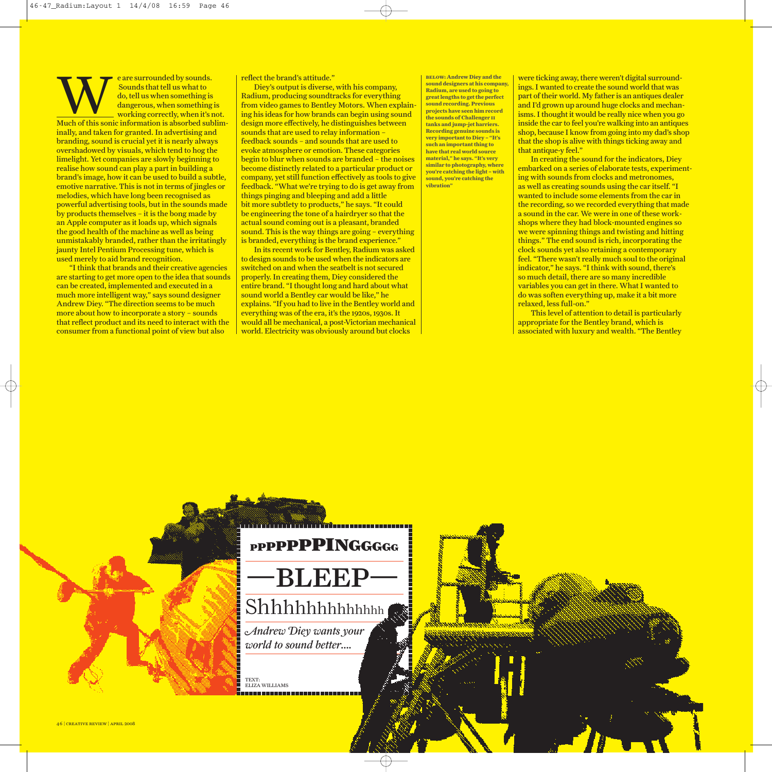Example 18 are surrounded by sounds.<br>
Sounds that tell us what to<br>
do, tell us when something is<br>
dangerous, when something Sounds that tell us what to do, tell us when something is dangerous, when something is working correctly, when it's not. Much of this sonic information is absorbed subliminally, and taken for granted. In advertising and branding, sound is crucial yet it is nearly always overshadowed by visuals, which tend to hog the limelight. Yet companies are slowly beginning to realise how sound can play a part in building a brand's image, how it can be used to build a subtle, emotive narrative. This is not in terms of jingles or melodies, which have long been recognised as powerful advertising tools, but in the sounds made by products themselves – it is the bong made by an Apple computer as it loads up, which signals the good health of the machine as well as being unmistakably branded, rather than the irritatingly iaunty Intel Pentium Processing tune, which is used merely to aid brand recognition.

"I think that brands and their creative agencies are starting to get more open to the idea that sounds can be created, implemented and executed in a much more intelligent way," says sound designer Andrew Diey. "The direction seems to be much more about how to incorporate a story – sounds that reflect product and its need to interact with the consumer from a functional point of view but also

reflect the brand's attitude."

Diey's output is diverse, with his company, Radium, producing soundtracks for everything from video games to Bentley Motors. When explaining his ideas for how brands can begin using sound design more effectively, he distinguishes between sounds that are used to relay information – feedback sounds – and sounds that are used to evoke atmosphere or emotion. These categories begin to blur when sounds are branded – the noises become distinctly related to a particular product or company, yet still function effectively as tools to give feedback. "What we're trying to do is get away from things pinging and bleeping and add a little bit more subtlety to products," he says. "It could be engineering the tone of a hairdryer so that the actual sound coming out is a pleasant, branded sound. This is the way things are going – everything is branded, everything is the brand experience."

In its recent work for Bentley, Radium was asked to design sounds to be used when the indicators are switched on and when the seatbelt is not secured properly. In creating them, Diey considered the entire brand. "I thought long and hard about what sound world a Bentley car would be like," he explains. "If you had to live in the Bentley world and everything was of the era, it's the 1920s, 1930s. It would all be mechanical, a post-Victorian mechanical world. Electricity was obviously around but clocks

**sound designers at his company, Radium, are used to going to greatlengths to getthe perfect sound recording. Previous projects have seen him record the sounds of Challenger ii tanks and jump-jet harriers. Recording genuine sounds is very importantto Diey – "It's such an important to Dicy** - **1**<br>**such an important thing to have that real world source material," he says. "It's very similar to photography, where you're catching the light – with sound, you're catching the vibration"**

**below: Andrew Diey and the**

were ticking away, there weren't digital surroundings.I wanted to create the sound world that was part of their world. My father is an antiques dealer and I'd grown up around huge clocks and mechanisms. I thought it would be really nice when you go inside the car to feel you're walking into an antiques shop, because I know from going into my dad's shop that the shop is alive with things ticking away and that antique-y feel."

In creating the sound for the indicators, Diey embarked on a series of elaborate tests, experimenting with sounds from clocks and metronomes, as well as creating sounds using the car itself. "I wanted to include some elements from the car in the recording, so we recorded everything that made a sound in the car. We were in one of these workshops where they had block-mounted engines so we were spinning things and twisting and hitting things." The end sound is rich, incorporating the clock sounds yet also retaining a contemporary feel. "There wasn't really much soul to the original indicator," he says. "I think with sound, there's so much detail, there are so many incredible variables you can get in there. What I wanted to do was soften everything up, make it a bit more relaxed, less full-on."

This level of attention to detail is particularly appropriate for the Bentley brand, which is associated with luxury and wealth. "The Bentley



*Andrew Diey wants your world to sound better….*

TEXT: ELIZAWILLIAMS

46 ¦ creative review ¦ april 2008